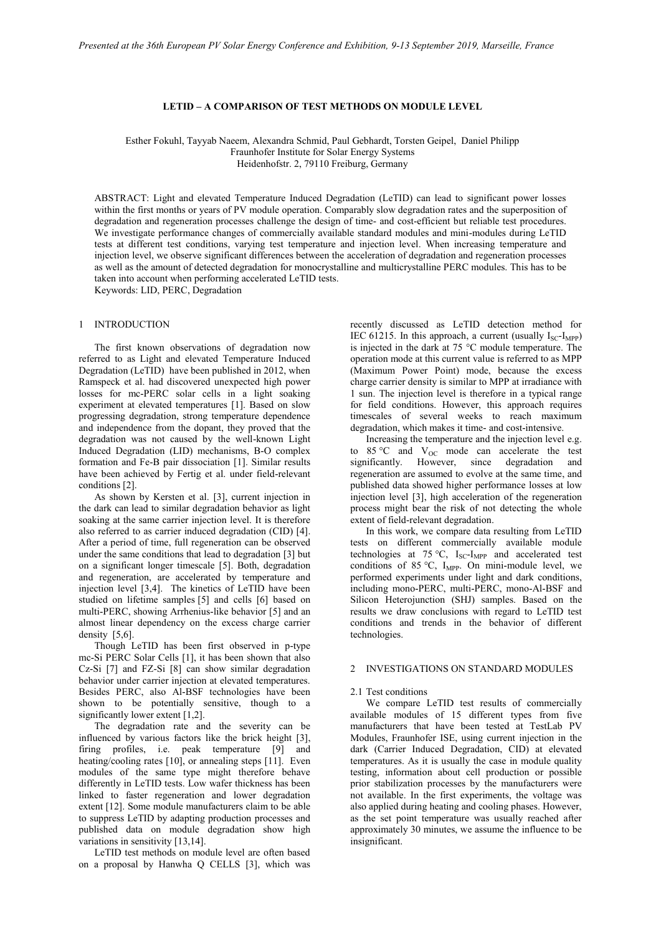# **LETID – A COMPARISON OF TEST METHODS ON MODULE LEVEL**

Esther Fokuhl, Tayyab Naeem, Alexandra Schmid, Paul Gebhardt, Torsten Geipel, Daniel Philipp Fraunhofer Institute for Solar Energy Systems Heidenhofstr. 2, 79110 Freiburg, Germany

ABSTRACT: Light and elevated Temperature Induced Degradation (LeTID) can lead to significant power losses within the first months or years of PV module operation. Comparably slow degradation rates and the superposition of degradation and regeneration processes challenge the design of time- and cost-efficient but reliable test procedures. We investigate performance changes of commercially available standard modules and mini-modules during LeTID tests at different test conditions, varying test temperature and injection level. When increasing temperature and injection level, we observe significant differences between the acceleration of degradation and regeneration processes as well as the amount of detected degradation for monocrystalline and multicrystalline PERC modules. This has to be taken into account when performing accelerated LeTID tests.

Keywords: LID, PERC, Degradation

### 1 INTRODUCTION

The first known observations of degradation now referred to as Light and elevated Temperature Induced Degradation (LeTID) have been published in 2012, when Ramspeck et al. had discovered unexpected high power losses for mc-PERC solar cells in a light soaking experiment at elevated temperatures [1]. Based on slow progressing degradation, strong temperature dependence and independence from the dopant, they proved that the degradation was not caused by the well-known Light Induced Degradation (LID) mechanisms, B-O complex formation and Fe-B pair dissociation [1]. Similar results have been achieved by Fertig et al. under field-relevant conditions [2].

As shown by Kersten et al. [3], current injection in the dark can lead to similar degradation behavior as light soaking at the same carrier injection level. It is therefore also referred to as carrier induced degradation (CID) [4]. After a period of time, full regeneration can be observed under the same conditions that lead to degradation [3] but on a significant longer timescale [5]. Both, degradation and regeneration, are accelerated by temperature and injection level [3,4]. The kinetics of LeTID have been studied on lifetime samples [5] and cells [6] based on multi-PERC, showing Arrhenius-like behavior [5] and an almost linear dependency on the excess charge carrier density [5,6].

Though LeTID has been first observed in p-type mc-Si PERC Solar Cells [1], it has been shown that also Cz-Si [7] and FZ-Si [8] can show similar degradation behavior under carrier injection at elevated temperatures. Besides PERC, also Al-BSF technologies have been shown to be potentially sensitive, though to a significantly lower extent [1,2].

The degradation rate and the severity can be influenced by various factors like the brick height [3], firing profiles, i.e. peak temperature [9] and heating/cooling rates [10], or annealing steps [11]. Even modules of the same type might therefore behave differently in LeTID tests. Low wafer thickness has been linked to faster regeneration and lower degradation extent [12]. Some module manufacturers claim to be able to suppress LeTID by adapting production processes and published data on module degradation show high variations in sensitivity [13,14].

LeTID test methods on module level are often based on a proposal by Hanwha Q CELLS [3], which was recently discussed as LeTID detection method for IEC 61215. In this approach, a current (usually  $I_{SC}$ - $I_{MPP}$ ) is injected in the dark at 75 °C module temperature. The operation mode at this current value is referred to as MPP (Maximum Power Point) mode, because the excess charge carrier density is similar to MPP at irradiance with 1 sun. The injection level is therefore in a typical range for field conditions. However, this approach requires timescales of several weeks to reach maximum degradation, which makes it time- and cost-intensive.

Increasing the temperature and the injection level e.g. to  $85^{\circ}$ C and  $V_{OC}$  mode can accelerate the test significantly. However, since degradation and regeneration are assumed to evolve at the same time, and published data showed higher performance losses at low injection level [3], high acceleration of the regeneration process might bear the risk of not detecting the whole extent of field-relevant degradation.

In this work, we compare data resulting from LeTID tests on different commercially available module technologies at 75 °C,  $I_{SC}$ - $I_{MPP}$  and accelerated test conditions of 85 °C,  $I_{\text{MPP}}$ . On mini-module level, we performed experiments under light and dark conditions, including mono-PERC, multi-PERC, mono-Al-BSF and Silicon Heterojunction (SHJ) samples. Based on the results we draw conclusions with regard to LeTID test conditions and trends in the behavior of different technologies.

### 2 INVESTIGATIONS ON STANDARD MODULES

#### 2.1 Test conditions

We compare LeTID test results of commercially available modules of 15 different types from five manufacturers that have been tested at TestLab PV Modules, Fraunhofer ISE, using current injection in the dark (Carrier Induced Degradation, CID) at elevated temperatures. As it is usually the case in module quality testing, information about cell production or possible prior stabilization processes by the manufacturers were not available. In the first experiments, the voltage was also applied during heating and cooling phases. However, as the set point temperature was usually reached after approximately 30 minutes, we assume the influence to be insignificant.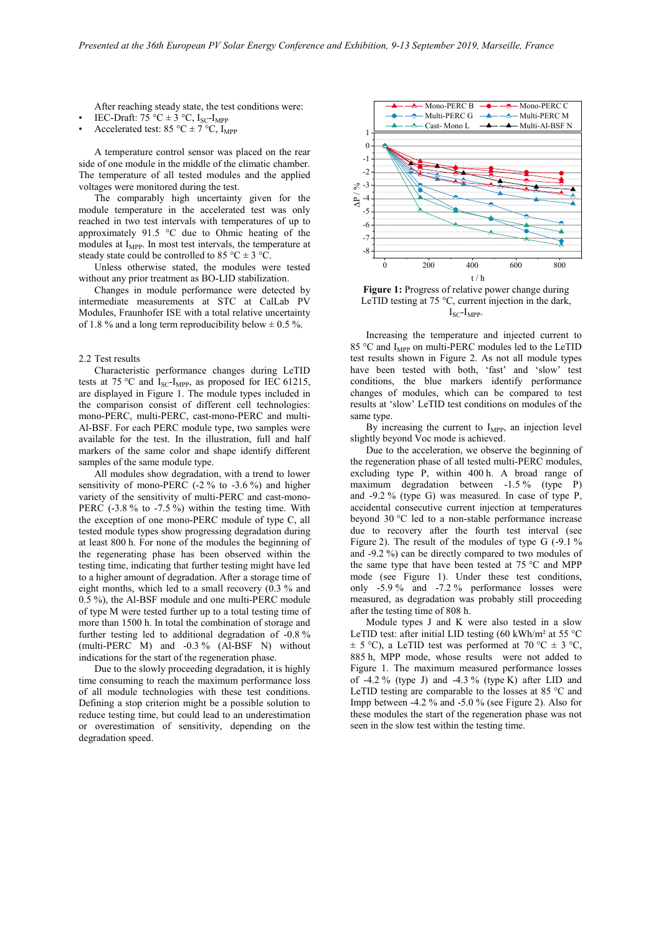After reaching steady state, the test conditions were:

- IEC-Draft:  $75 \text{ °C} \pm 3 \text{ °C}$ , I<sub>SC</sub>-I<sub>MPP</sub>
- Accelerated test: 85 °C  $\pm$  7 °C, I<sub>MPP</sub>

A temperature control sensor was placed on the rear side of one module in the middle of the climatic chamber. The temperature of all tested modules and the applied voltages were monitored during the test.

The comparably high uncertainty given for the module temperature in the accelerated test was only reached in two test intervals with temperatures of up to approximately 91.5 °C due to Ohmic heating of the modules at  $I_{\text{MPP}}$ . In most test intervals, the temperature at steady state could be controlled to 85 °C  $\pm$  3 °C.

Unless otherwise stated, the modules were tested without any prior treatment as BO-LID stabilization.

Changes in module performance were detected by intermediate measurements at STC at CalLab PV Modules, Fraunhofer ISE with a total relative uncertainty of 1.8 % and a long term reproducibility below  $\pm$  0.5 %.

### 2.2 Test results

Characteristic performance changes during LeTID tests at 75 °C and  $I_{SC}$ - $I_{MPP}$ , as proposed for IEC 61215, are displayed in Figure 1. The module types included in the comparison consist of different cell technologies: mono-PERC, multi-PERC, cast-mono-PERC and multi-Al-BSF. For each PERC module type, two samples were available for the test. In the illustration, full and half markers of the same color and shape identify different samples of the same module type.

All modules show degradation, with a trend to lower sensitivity of mono-PERC (-2 % to -3.6 %) and higher variety of the sensitivity of multi-PERC and cast-mono-PERC (-3.8 % to -7.5 %) within the testing time. With the exception of one mono-PERC module of type C, all tested module types show progressing degradation during at least 800 h. For none of the modules the beginning of the regenerating phase has been observed within the testing time, indicating that further testing might have led to a higher amount of degradation. After a storage time of eight months, which led to a small recovery (0.3 % and 0.5 %), the Al-BSF module and one multi-PERC module of type M were tested further up to a total testing time of more than 1500 h. In total the combination of storage and further testing led to additional degradation of -0.8 % (multi-PERC M) and -0.3 % (Al-BSF N) without indications for the start of the regeneration phase.

Due to the slowly proceeding degradation, it is highly time consuming to reach the maximum performance loss of all module technologies with these test conditions. Defining a stop criterion might be a possible solution to reduce testing time, but could lead to an underestimation or overestimation of sensitivity, depending on the degradation speed.



**Figure 1:** Progress of relative power change during LeTID testing at 75 °C, current injection in the dark,  $I_{SC}$ - $I_{MPP}$ .

Increasing the temperature and injected current to 85 °C and I<sub>MPP</sub> on multi-PERC modules led to the LeTID test results shown in Figure 2. As not all module types have been tested with both, 'fast' and 'slow' test conditions, the blue markers identify performance changes of modules, which can be compared to test results at 'slow' LeTID test conditions on modules of the same type.

By increasing the current to  $I_{MPP}$ , an injection level slightly beyond Voc mode is achieved.

Due to the acceleration, we observe the beginning of the regeneration phase of all tested multi-PERC modules, excluding type P, within 400 h. A broad range of maximum degradation between -1.5 % (type P) and -9.2 % (type G) was measured. In case of type P, accidental consecutive current injection at temperatures beyond 30 °C led to a non-stable performance increase due to recovery after the fourth test interval (see Figure 2). The result of the modules of type G (-9.1 % and -9.2 %) can be directly compared to two modules of the same type that have been tested at 75 °C and MPP mode (see Figure 1). Under these test conditions, only -5.9 % and -7.2 % performance losses were measured, as degradation was probably still proceeding after the testing time of 808 h.

Module types J and K were also tested in a slow LeTID test: after initial LID testing  $(60 \text{ kWh/m}^2 \text{ at } 55 \text{ °C})$  $\pm$  5 °C), a LeTID test was performed at 70 °C  $\pm$  3 °C, 885 h, MPP mode, whose results were not added to Figure 1. The maximum measured performance losses of  $-4.2\%$  (type J) and  $-4.3\%$  (type K) after LID and LeTID testing are comparable to the losses at 85 °C and Impp between -4.2 % and -5.0 % (see Figure 2). Also for these modules the start of the regeneration phase was not seen in the slow test within the testing time.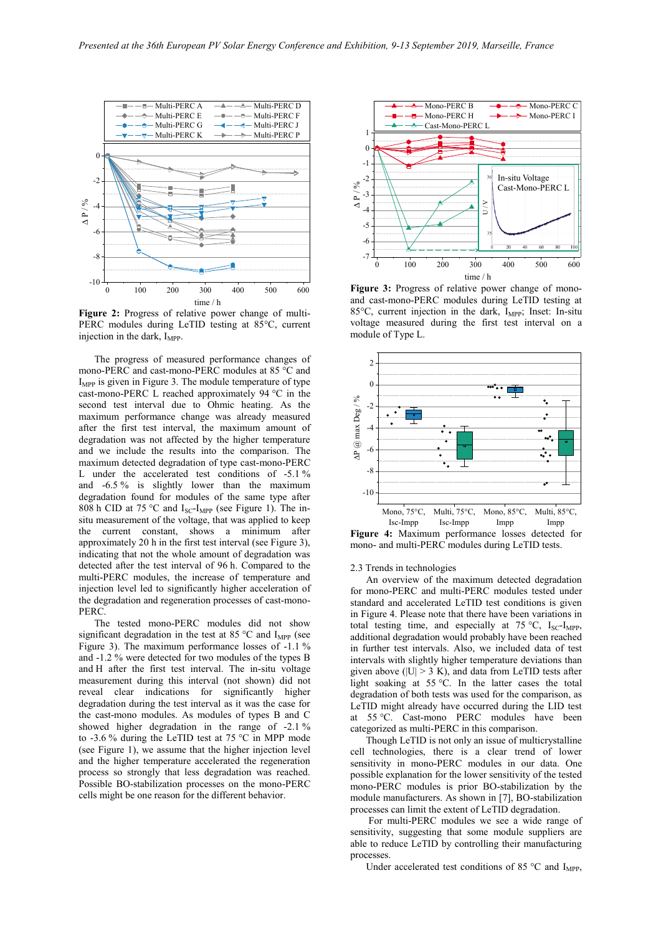

**Figure 2:** Progress of relative power change of multi-PERC modules during LeTID testing at 85°C, current injection in the dark,  $I_{\text{MPP}}$ .

The progress of measured performance changes of mono-PERC and cast-mono-PERC modules at 85 °C and  $I<sub>MPP</sub>$  is given in Figure 3. The module temperature of type cast-mono-PERC L reached approximately 94 °C in the second test interval due to Ohmic heating. As the maximum performance change was already measured after the first test interval, the maximum amount of degradation was not affected by the higher temperature and we include the results into the comparison. The maximum detected degradation of type cast-mono-PERC L under the accelerated test conditions of -5.1 % and -6.5 % is slightly lower than the maximum degradation found for modules of the same type after 808 h CID at 75 °C and  $I_{SC}$ - $I_{MPP}$  (see Figure 1). The insitu measurement of the voltage, that was applied to keep the current constant, shows a minimum after approximately 20 h in the first test interval (see Figure 3), indicating that not the whole amount of degradation was detected after the test interval of 96 h. Compared to the multi-PERC modules, the increase of temperature and injection level led to significantly higher acceleration of the degradation and regeneration processes of cast-mono-PERC.

The tested mono-PERC modules did not show significant degradation in the test at 85  $^{\circ}$ C and I<sub>MPP</sub> (see Figure 3). The maximum performance losses of -1.1 % and -1.2 % were detected for two modules of the types B and H after the first test interval. The in-situ voltage measurement during this interval (not shown) did not reveal clear indications for significantly higher degradation during the test interval as it was the case for the cast-mono modules. As modules of types B and C showed higher degradation in the range of -2.1 % to -3.6 % during the LeTID test at 75 °C in MPP mode (see Figure 1), we assume that the higher injection level and the higher temperature accelerated the regeneration process so strongly that less degradation was reached. Possible BO-stabilization processes on the mono-PERC cells might be one reason for the different behavior.



0 100 200 300 400 500 600 **Figure 3:** Progress of relative power change of monoand cast-mono-PERC modules during LeTID testing at 85 $\degree$ C, current injection in the dark,  $I_{\text{MPP}}$ ; Inset: In-situ voltage measured during the first test interval on a module of Type L.



**Figure 4:** Maximum performance losses detected for mono- and multi-PERC modules during LeTID tests.

### 2.3 Trends in technologies

An overview of the maximum detected degradation for mono-PERC and multi-PERC modules tested under standard and accelerated LeTID test conditions is given in Figure 4. Please note that there have been variations in total testing time, and especially at  $75 \text{ °C}$ ,  $I_{\text{SC}}$ - $I_{\text{MPP}}$ , additional degradation would probably have been reached in further test intervals. Also, we included data of test intervals with slightly higher temperature deviations than given above ( $|U| > 3$  K), and data from LeTID tests after light soaking at 55 °C. In the latter cases the total degradation of both tests was used for the comparison, as LeTID might already have occurred during the LID test at 55 °C. Cast-mono PERC modules have been categorized as multi-PERC in this comparison.

Though LeTID is not only an issue of multicrystalline cell technologies, there is a clear trend of lower sensitivity in mono-PERC modules in our data. One possible explanation for the lower sensitivity of the tested mono-PERC modules is prior BO-stabilization by the module manufacturers. As shown in [7], BO-stabilization processes can limit the extent of LeTID degradation.

For multi-PERC modules we see a wide range of sensitivity, suggesting that some module suppliers are able to reduce LeTID by controlling their manufacturing processes.

Under accelerated test conditions of 85  $\degree$ C and I<sub>MPP</sub>,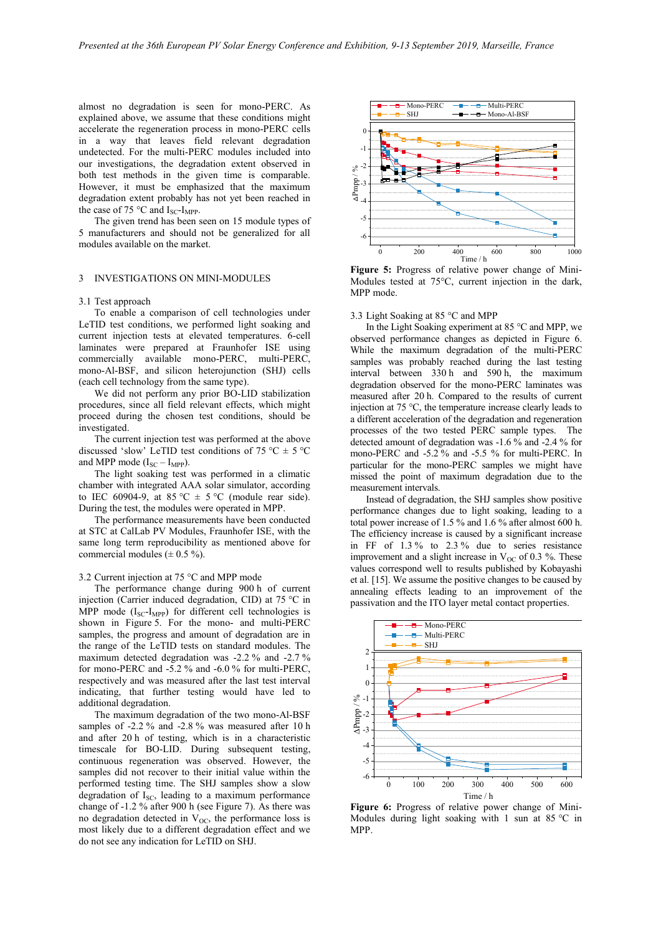almost no degradation is seen for mono-PERC. As explained above, we assume that these conditions might accelerate the regeneration process in mono-PERC cells in a way that leaves field relevant degradation undetected. For the multi-PERC modules included into our investigations, the degradation extent observed in both test methods in the given time is comparable. However, it must be emphasized that the maximum degradation extent probably has not yet been reached in the case of 75 °C and  $I_{SC}$ - $I_{MPP}$ .

The given trend has been seen on 15 module types of 5 manufacturers and should not be generalized for all modules available on the market.

# 3 INVESTIGATIONS ON MINI-MODULES

#### 3.1 Test approach

To enable a comparison of cell technologies under LeTID test conditions, we performed light soaking and current injection tests at elevated temperatures. 6-cell laminates were prepared at Fraunhofer ISE using commercially available mono-PERC, multi-PERC, mono-Al-BSF, and silicon heterojunction (SHJ) cells (each cell technology from the same type).

We did not perform any prior BO-LID stabilization procedures, since all field relevant effects, which might proceed during the chosen test conditions, should be investigated.

The current injection test was performed at the above discussed 'slow' LeTID test conditions of 75 °C  $\pm$  5 °C and MPP mode  $(I_{SC} - I_{MPP})$ .

The light soaking test was performed in a climatic chamber with integrated AAA solar simulator, according to IEC 60904-9, at 85 °C  $\pm$  5 °C (module rear side). During the test, the modules were operated in MPP.

The performance measurements have been conducted at STC at CalLab PV Modules, Fraunhofer ISE, with the same long term reproducibility as mentioned above for commercial modules  $(\pm 0.5 \%)$ .

### 3.2 Current injection at 75 °C and MPP mode

The performance change during 900 h of current injection (Carrier induced degradation, CID) at 75 °C in MPP mode  $(I_{SC}-I_{MPP})$  for different cell technologies is shown in Figure 5. For the mono- and multi-PERC samples, the progress and amount of degradation are in the range of the LeTID tests on standard modules. The maximum detected degradation was -2.2 % and -2.7 % for mono-PERC and -5.2 % and -6.0 % for multi-PERC, respectively and was measured after the last test interval indicating, that further testing would have led to additional degradation.

The maximum degradation of the two mono-Al-BSF samples of -2.2 % and -2.8 % was measured after 10 h and after 20 h of testing, which is in a characteristic timescale for BO-LID. During subsequent testing, continuous regeneration was observed. However, the samples did not recover to their initial value within the performed testing time. The SHJ samples show a slow degradation of  $I_{SC}$ , leading to a maximum performance change of -1.2 % after 900 h (see Figure 7). As there was no degradation detected in  $V_{OC}$ , the performance loss is most likely due to a different degradation effect and we do not see any indication for LeTID on SHJ.



**Figure 5:** Progress of relative power change of Mini-Modules tested at 75°C, current injection in the dark, MPP mode.

#### 3.3 Light Soaking at 85 °C and MPP

In the Light Soaking experiment at 85 °C and MPP, we observed performance changes as depicted in Figure 6. While the maximum degradation of the multi-PERC samples was probably reached during the last testing interval between 330 h and 590 h, the maximum degradation observed for the mono-PERC laminates was measured after 20 h. Compared to the results of current injection at 75 °C, the temperature increase clearly leads to a different acceleration of the degradation and regeneration processes of the two tested PERC sample types. The detected amount of degradation was -1.6 % and -2.4 % for mono-PERC and -5.2 % and -5.5 % for multi-PERC. In particular for the mono-PERC samples we might have missed the point of maximum degradation due to the measurement intervals.

Instead of degradation, the SHJ samples show positive performance changes due to light soaking, leading to a total power increase of 1.5 % and 1.6 % after almost 600 h. The efficiency increase is caused by a significant increase in FF of 1.3 % to 2.3 % due to series resistance improvement and a slight increase in  $V_{OC}$  of 0.3 %. These values correspond well to results published by Kobayashi et al. [15]. We assume the positive changes to be caused by annealing effects leading to an improvement of the passivation and the ITO layer metal contact properties.



**Figure 6:** Progress of relative power change of Mini-Modules during light soaking with 1 sun at 85 °C in MPP.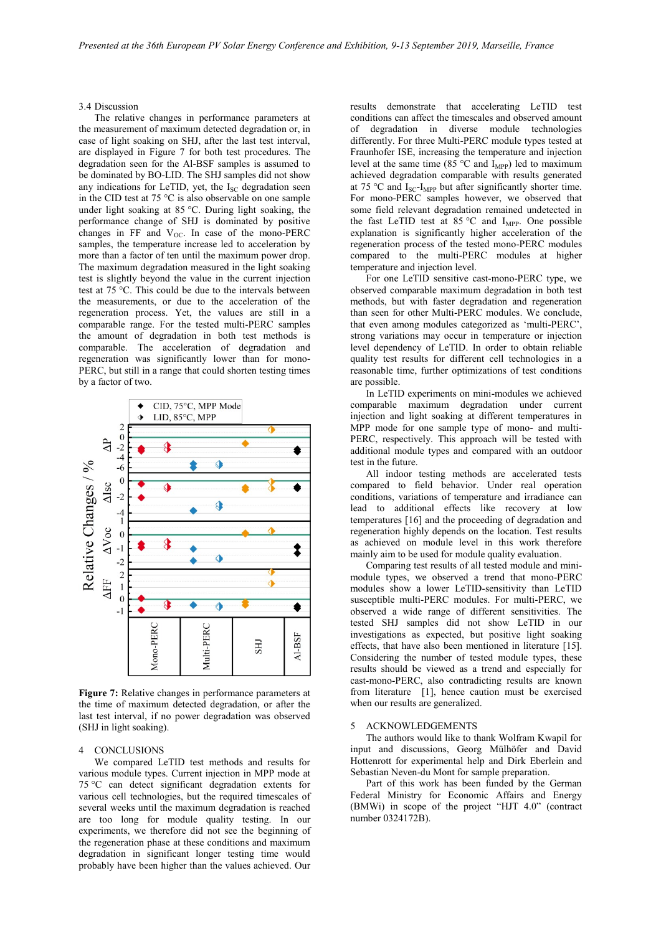### 3.4 Discussion

The relative changes in performance parameters at the measurement of maximum detected degradation or, in case of light soaking on SHJ, after the last test interval, are displayed in Figure 7 for both test procedures. The degradation seen for the Al-BSF samples is assumed to be dominated by BO-LID. The SHJ samples did not show any indications for LeTID, yet, the  $I_{SC}$  degradation seen in the CID test at 75 °C is also observable on one sample under light soaking at 85 °C. During light soaking, the performance change of SHJ is dominated by positive changes in FF and  $V_{OC}$ . In case of the mono-PERC samples, the temperature increase led to acceleration by more than a factor of ten until the maximum power drop. The maximum degradation measured in the light soaking test is slightly beyond the value in the current injection test at 75 °C. This could be due to the intervals between the measurements, or due to the acceleration of the regeneration process. Yet, the values are still in a comparable range. For the tested multi-PERC samples the amount of degradation in both test methods is comparable. The acceleration of degradation and regeneration was significantly lower than for mono-PERC, but still in a range that could shorten testing times by a factor of two.



**Figure 7:** Relative changes in performance parameters at the time of maximum detected degradation, or after the last test interval, if no power degradation was observed (SHJ in light soaking).

# 4 CONCLUSIONS

We compared LeTID test methods and results for various module types. Current injection in MPP mode at 75 °C can detect significant degradation extents for various cell technologies, but the required timescales of several weeks until the maximum degradation is reached are too long for module quality testing. In our experiments, we therefore did not see the beginning of the regeneration phase at these conditions and maximum degradation in significant longer testing time would probably have been higher than the values achieved. Our

results demonstrate that accelerating LeTID test conditions can affect the timescales and observed amount of degradation in diverse module technologies differently. For three Multi-PERC module types tested at Fraunhofer ISE, increasing the temperature and injection level at the same time (85  $\degree$ C and I<sub>MPP</sub>) led to maximum achieved degradation comparable with results generated at 75 °C and  $I_{SC}$ - $I_{MPP}$  but after significantly shorter time. For mono-PERC samples however, we observed that some field relevant degradation remained undetected in the fast LeTID test at 85 °C and  $I_{MPP}$ . One possible explanation is significantly higher acceleration of the regeneration process of the tested mono-PERC modules compared to the multi-PERC modules at higher temperature and injection level.

For one LeTID sensitive cast-mono-PERC type, we observed comparable maximum degradation in both test methods, but with faster degradation and regeneration than seen for other Multi-PERC modules. We conclude, that even among modules categorized as 'multi-PERC', strong variations may occur in temperature or injection level dependency of LeTID. In order to obtain reliable quality test results for different cell technologies in a reasonable time, further optimizations of test conditions are possible.

In LeTID experiments on mini-modules we achieved comparable maximum degradation under current injection and light soaking at different temperatures in MPP mode for one sample type of mono- and multi-PERC, respectively. This approach will be tested with additional module types and compared with an outdoor test in the future.

All indoor testing methods are accelerated tests compared to field behavior. Under real operation conditions, variations of temperature and irradiance can lead to additional effects like recovery at low temperatures [16] and the proceeding of degradation and regeneration highly depends on the location. Test results as achieved on module level in this work therefore mainly aim to be used for module quality evaluation.

Comparing test results of all tested module and minimodule types, we observed a trend that mono-PERC modules show a lower LeTID-sensitivity than LeTID susceptible multi-PERC modules. For multi-PERC, we observed a wide range of different sensitivities. The tested SHJ samples did not show LeTID in our investigations as expected, but positive light soaking effects, that have also been mentioned in literature [15]. Considering the number of tested module types, these results should be viewed as a trend and especially for cast-mono-PERC, also contradicting results are known from literature [1], hence caution must be exercised when our results are generalized.

# 5 ACKNOWLEDGEMENTS

The authors would like to thank Wolfram Kwapil for input and discussions, Georg Mülhöfer and David Hottenrott for experimental help and Dirk Eberlein and Sebastian Neven-du Mont for sample preparation.

Part of this work has been funded by the German Federal Ministry for Economic Affairs and Energy (BMWi) in scope of the project "HJT 4.0" (contract number 0324172B).